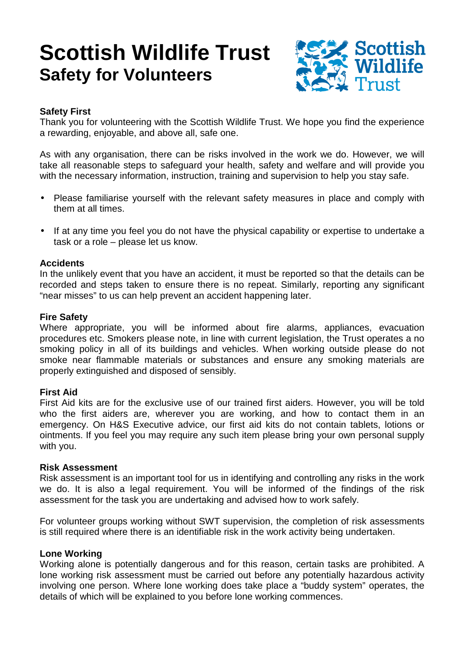# **Scottish Wildlife Trust Safety for Volunteers**



# **Safety First**

Thank you for volunteering with the Scottish Wildlife Trust. We hope you find the experience a rewarding, enjoyable, and above all, safe one.

As with any organisation, there can be risks involved in the work we do. However, we will take all reasonable steps to safeguard your health, safety and welfare and will provide you with the necessary information, instruction, training and supervision to help you stay safe.

- Please familiarise yourself with the relevant safety measures in place and comply with them at all times.
- If at any time you feel you do not have the physical capability or expertise to undertake a task or a role – please let us know.

# **Accidents**

In the unlikely event that you have an accident, it must be reported so that the details can be recorded and steps taken to ensure there is no repeat. Similarly, reporting any significant "near misses" to us can help prevent an accident happening later.

## **Fire Safety**

Where appropriate, you will be informed about fire alarms, appliances, evacuation procedures etc. Smokers please note, in line with current legislation, the Trust operates a no smoking policy in all of its buildings and vehicles. When working outside please do not smoke near flammable materials or substances and ensure any smoking materials are properly extinguished and disposed of sensibly.

# **First Aid**

First Aid kits are for the exclusive use of our trained first aiders. However, you will be told who the first aiders are, wherever you are working, and how to contact them in an emergency. On H&S Executive advice, our first aid kits do not contain tablets, lotions or ointments. If you feel you may require any such item please bring your own personal supply with you.

## **Risk Assessment**

Risk assessment is an important tool for us in identifying and controlling any risks in the work we do. It is also a legal requirement. You will be informed of the findings of the risk assessment for the task you are undertaking and advised how to work safely.

For volunteer groups working without SWT supervision, the completion of risk assessments is still required where there is an identifiable risk in the work activity being undertaken.

# **Lone Working**

Working alone is potentially dangerous and for this reason, certain tasks are prohibited. A lone working risk assessment must be carried out before any potentially hazardous activity involving one person. Where lone working does take place a "buddy system" operates, the details of which will be explained to you before lone working commences.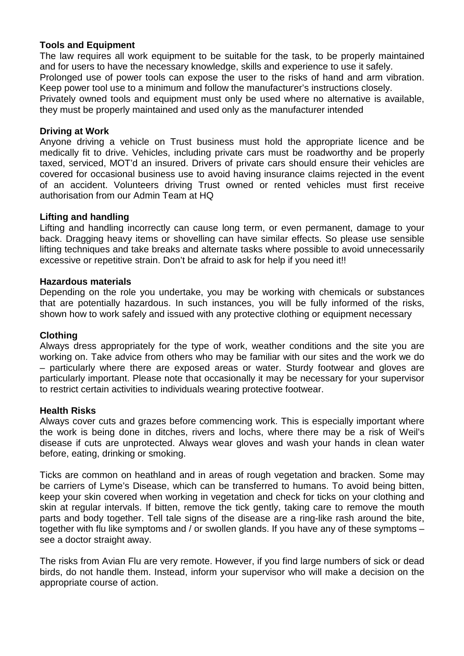# **Tools and Equipment**

The law requires all work equipment to be suitable for the task, to be properly maintained and for users to have the necessary knowledge, skills and experience to use it safely. Prolonged use of power tools can expose the user to the risks of hand and arm vibration. Keep power tool use to a minimum and follow the manufacturer's instructions closely. Privately owned tools and equipment must only be used where no alternative is available, they must be properly maintained and used only as the manufacturer intended

## **Driving at Work**

Anyone driving a vehicle on Trust business must hold the appropriate licence and be medically fit to drive. Vehicles, including private cars must be roadworthy and be properly taxed, serviced, MOT'd an insured. Drivers of private cars should ensure their vehicles are covered for occasional business use to avoid having insurance claims rejected in the event of an accident. Volunteers driving Trust owned or rented vehicles must first receive authorisation from our Admin Team at HQ

## **Lifting and handling**

Lifting and handling incorrectly can cause long term, or even permanent, damage to your back. Dragging heavy items or shovelling can have similar effects. So please use sensible lifting techniques and take breaks and alternate tasks where possible to avoid unnecessarily excessive or repetitive strain. Don't be afraid to ask for help if you need it!!

## **Hazardous materials**

Depending on the role you undertake, you may be working with chemicals or substances that are potentially hazardous. In such instances, you will be fully informed of the risks, shown how to work safely and issued with any protective clothing or equipment necessary

## **Clothing**

Always dress appropriately for the type of work, weather conditions and the site you are working on. Take advice from others who may be familiar with our sites and the work we do – particularly where there are exposed areas or water. Sturdy footwear and gloves are particularly important. Please note that occasionally it may be necessary for your supervisor to restrict certain activities to individuals wearing protective footwear.

## **Health Risks**

Always cover cuts and grazes before commencing work. This is especially important where the work is being done in ditches, rivers and lochs, where there may be a risk of Weil's disease if cuts are unprotected. Always wear gloves and wash your hands in clean water before, eating, drinking or smoking.

Ticks are common on heathland and in areas of rough vegetation and bracken. Some may be carriers of Lyme's Disease, which can be transferred to humans. To avoid being bitten, keep your skin covered when working in vegetation and check for ticks on your clothing and skin at regular intervals. If bitten, remove the tick gently, taking care to remove the mouth parts and body together. Tell tale signs of the disease are a ring-like rash around the bite, together with flu like symptoms and / or swollen glands. If you have any of these symptoms – see a doctor straight away.

The risks from Avian Flu are very remote. However, if you find large numbers of sick or dead birds, do not handle them. Instead, inform your supervisor who will make a decision on the appropriate course of action.